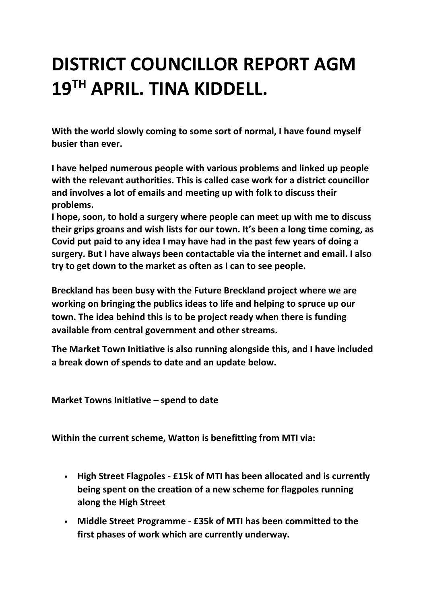## **DISTRICT COUNCILLOR REPORT AGM 19TH APRIL. TINA KIDDELL.**

**With the world slowly coming to some sort of normal, I have found myself busier than ever.**

**I have helped numerous people with various problems and linked up people with the relevant authorities. This is called case work for a district councillor and involves a lot of emails and meeting up with folk to discuss their problems.**

**I hope, soon, to hold a surgery where people can meet up with me to discuss their grips groans and wish lists for our town. It's been a long time coming, as Covid put paid to any idea I may have had in the past few years of doing a surgery. But I have always been contactable via the internet and email. I also try to get down to the market as often as I can to see people.**

**Breckland has been busy with the Future Breckland project where we are working on bringing the publics ideas to life and helping to spruce up our town. The idea behind this is to be project ready when there is funding available from central government and other streams.** 

**The Market Town Initiative is also running alongside this, and I have included a break down of spends to date and an update below.**

**Market Towns Initiative – spend to date** 

**Within the current scheme, Watton is benefitting from MTI via:** 

- **High Street Flagpoles - £15k of MTI has been allocated and is currently being spent on the creation of a new scheme for flagpoles running along the High Street**
- **Middle Street Programme - £35k of MTI has been committed to the first phases of work which are currently underway.**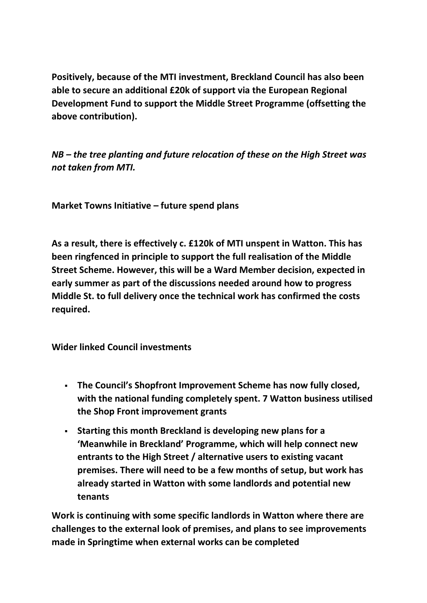**Positively, because of the MTI investment, Breckland Council has also been able to secure an additional £20k of support via the European Regional Development Fund to support the Middle Street Programme (offsetting the above contribution).** 

*NB – the tree planting and future relocation of these on the High Street was not taken from MTI.*

**Market Towns Initiative – future spend plans** 

**As a result, there is effectively c. £120k of MTI unspent in Watton. This has been ringfenced in principle to support the full realisation of the Middle Street Scheme. However, this will be a Ward Member decision, expected in early summer as part of the discussions needed around how to progress Middle St. to full delivery once the technical work has confirmed the costs required.**

**Wider linked Council investments** 

- **The Council's Shopfront Improvement Scheme has now fully closed, with the national funding completely spent. 7 Watton business utilised the Shop Front improvement grants**
- **Starting this month Breckland is developing new plans for a 'Meanwhile in Breckland' Programme, which will help connect new entrants to the High Street / alternative users to existing vacant premises. There will need to be a few months of setup, but work has already started in Watton with some landlords and potential new tenants**

**Work is continuing with some specific landlords in Watton where there are challenges to the external look of premises, and plans to see improvements made in Springtime when external works can be completed**